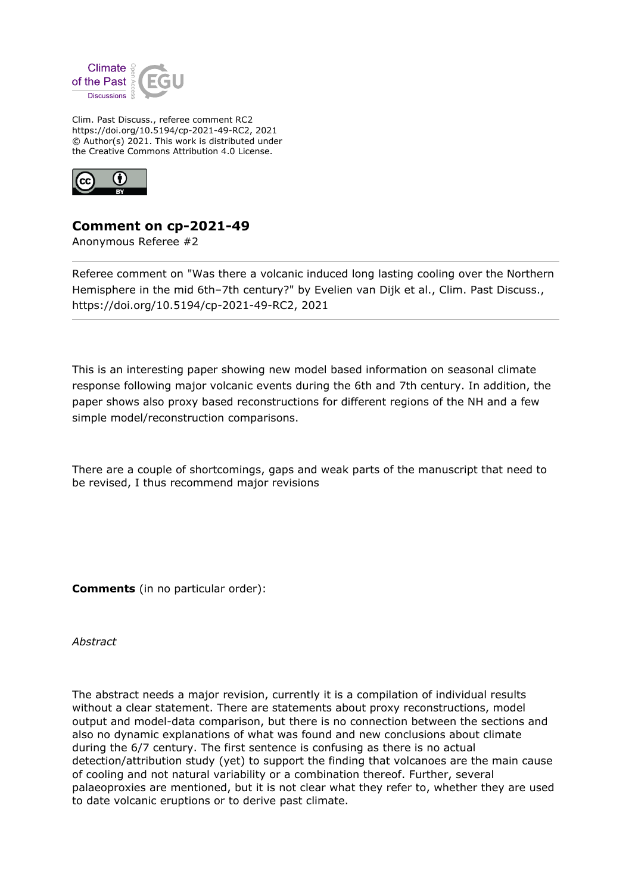

Clim. Past Discuss., referee comment RC2 https://doi.org/10.5194/cp-2021-49-RC2, 2021 © Author(s) 2021. This work is distributed under the Creative Commons Attribution 4.0 License.



## **Comment on cp-2021-49**

Anonymous Referee #2

Referee comment on "Was there a volcanic induced long lasting cooling over the Northern Hemisphere in the mid 6th-7th century?" by Evelien van Dijk et al., Clim. Past Discuss., https://doi.org/10.5194/cp-2021-49-RC2, 2021

This is an interesting paper showing new model based information on seasonal climate response following major volcanic events during the 6th and 7th century. In addition, the paper shows also proxy based reconstructions for different regions of the NH and a few simple model/reconstruction comparisons.

There are a couple of shortcomings, gaps and weak parts of the manuscript that need to be revised, I thus recommend major revisions

**Comments** (in no particular order):

*Abstract*

The abstract needs a major revision, currently it is a compilation of individual results without a clear statement. There are statements about proxy reconstructions, model output and model-data comparison, but there is no connection between the sections and also no dynamic explanations of what was found and new conclusions about climate during the 6/7 century. The first sentence is confusing as there is no actual detection/attribution study (yet) to support the finding that volcanoes are the main cause of cooling and not natural variability or a combination thereof. Further, several palaeoproxies are mentioned, but it is not clear what they refer to, whether they are used to date volcanic eruptions or to derive past climate.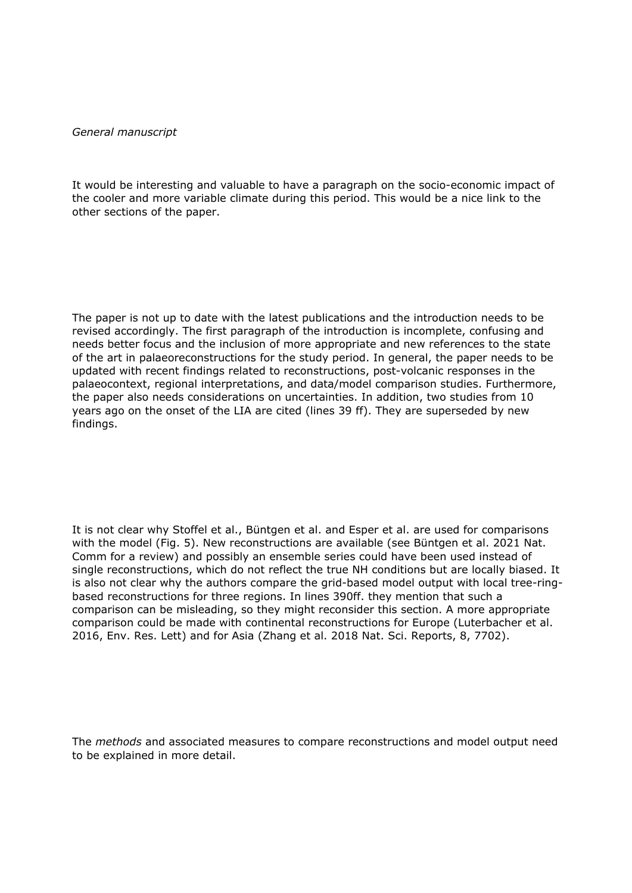## *General manuscript*

It would be interesting and valuable to have a paragraph on the socio-economic impact of the cooler and more variable climate during this period. This would be a nice link to the other sections of the paper.

The paper is not up to date with the latest publications and the introduction needs to be revised accordingly. The first paragraph of the introduction is incomplete, confusing and needs better focus and the inclusion of more appropriate and new references to the state of the art in palaeoreconstructions for the study period. In general, the paper needs to be updated with recent findings related to reconstructions, post-volcanic responses in the palaeocontext, regional interpretations, and data/model comparison studies. Furthermore, the paper also needs considerations on uncertainties. In addition, two studies from 10 years ago on the onset of the LIA are cited (lines 39 ff). They are superseded by new findings.

It is not clear why Stoffel et al., Büntgen et al. and Esper et al. are used for comparisons with the model (Fig. 5). New reconstructions are available (see Büntgen et al. 2021 Nat. Comm for a review) and possibly an ensemble series could have been used instead of single reconstructions, which do not reflect the true NH conditions but are locally biased. It is also not clear why the authors compare the grid-based model output with local tree-ringbased reconstructions for three regions. In lines 390ff. they mention that such a comparison can be misleading, so they might reconsider this section. A more appropriate comparison could be made with continental reconstructions for Europe (Luterbacher et al. 2016, Env. Res. Lett) and for Asia (Zhang et al. 2018 Nat. Sci. Reports, 8, 7702).

The *methods* and associated measures to compare reconstructions and model output need to be explained in more detail.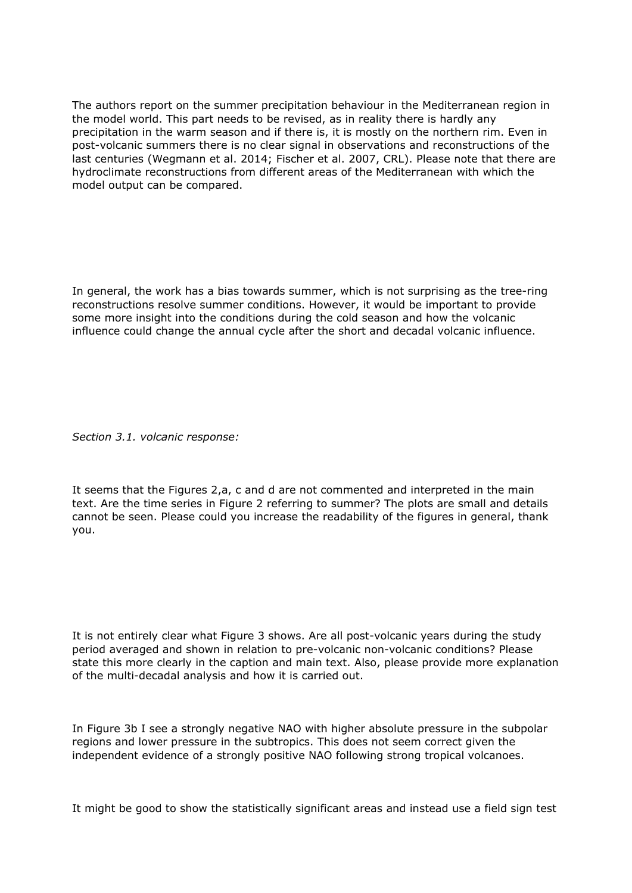The authors report on the summer precipitation behaviour in the Mediterranean region in the model world. This part needs to be revised, as in reality there is hardly any precipitation in the warm season and if there is, it is mostly on the northern rim. Even in post-volcanic summers there is no clear signal in observations and reconstructions of the last centuries (Wegmann et al. 2014; Fischer et al. 2007, CRL). Please note that there are hydroclimate reconstructions from different areas of the Mediterranean with which the model output can be compared.

In general, the work has a bias towards summer, which is not surprising as the tree-ring reconstructions resolve summer conditions. However, it would be important to provide some more insight into the conditions during the cold season and how the volcanic influence could change the annual cycle after the short and decadal volcanic influence.

*Section 3.1. volcanic response:*

It seems that the Figures 2,a, c and d are not commented and interpreted in the main text. Are the time series in Figure 2 referring to summer? The plots are small and details cannot be seen. Please could you increase the readability of the figures in general, thank you.

It is not entirely clear what Figure 3 shows. Are all post-volcanic years during the study period averaged and shown in relation to pre-volcanic non-volcanic conditions? Please state this more clearly in the caption and main text. Also, please provide more explanation of the multi-decadal analysis and how it is carried out.

In Figure 3b I see a strongly negative NAO with higher absolute pressure in the subpolar regions and lower pressure in the subtropics. This does not seem correct given the independent evidence of a strongly positive NAO following strong tropical volcanoes.

It might be good to show the statistically significant areas and instead use a field sign test